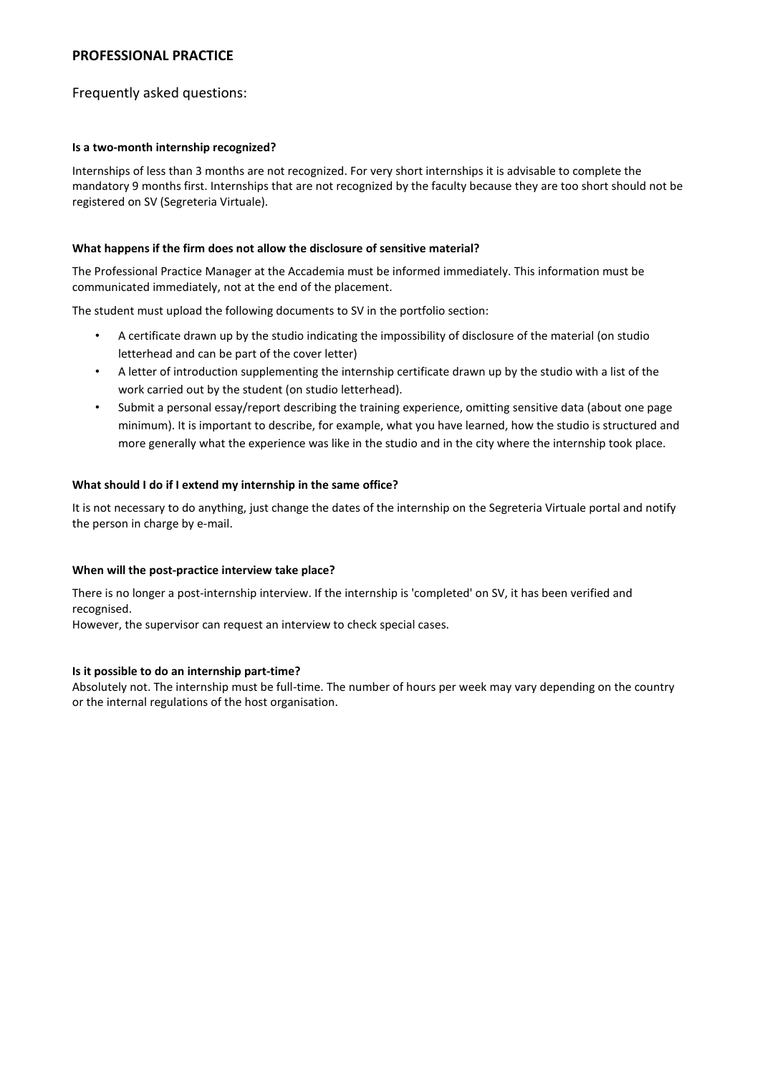# **PROFESSIONAL PRACTICE**

# Frequently asked questions:

## **Is a two-month internship recognized?**

Internships of less than 3 months are not recognized. For very short internships it is advisable to complete the mandatory 9 months first. Internships that are not recognized by the faculty because they are too short should not be registered on SV (Segreteria Virtuale).

## **What happens if the firm does not allow the disclosure of sensitive material?**

The Professional Practice Manager at the Accademia must be informed immediately. This information must be communicated immediately, not at the end of the placement.

The student must upload the following documents to SV in the portfolio section:

- A certificate drawn up by the studio indicating the impossibility of disclosure of the material (on studio letterhead and can be part of the cover letter)
- A letter of introduction supplementing the internship certificate drawn up by the studio with a list of the work carried out by the student (on studio letterhead).
- Submit a personal essay/report describing the training experience, omitting sensitive data (about one page minimum). It is important to describe, for example, what you have learned, how the studio is structured and more generally what the experience was like in the studio and in the city where the internship took place.

# **What should I do if I extend my internship in the same office?**

It is not necessary to do anything, just change the dates of the internship on the Segreteria Virtuale portal and notify the person in charge by e-mail.

### **When will the post-practice interview take place?**

There is no longer a post-internship interview. If the internship is 'completed' on SV, it has been verified and recognised.

However, the supervisor can request an interview to check special cases.

### **Is it possible to do an internship part-time?**

Absolutely not. The internship must be full-time. The number of hours per week may vary depending on the country or the internal regulations of the host organisation.